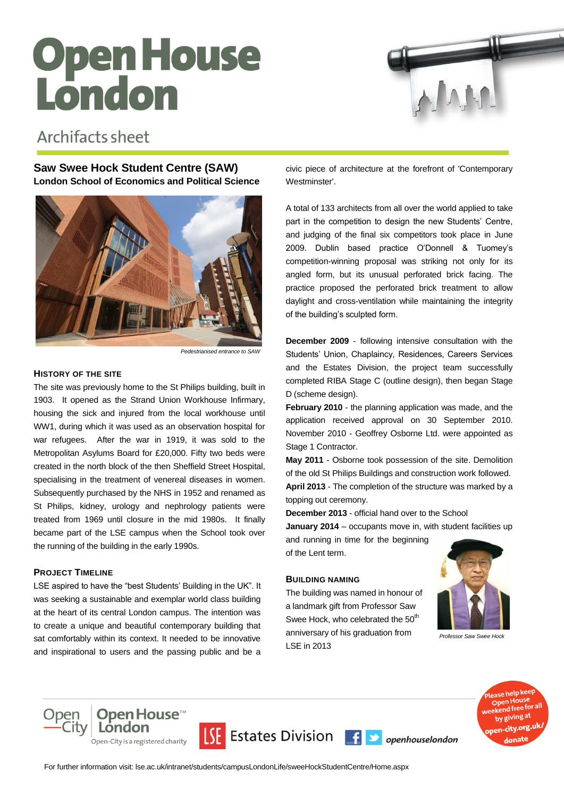# Open House<br>London



## Archifacts sheet

### **Saw Swee Hock Student Centre (SAW) London School of Economics and Political Science**



*Pedestrianised entrance to SAW*

#### **HISTORY OF THE SITE**

The site was previously home to the St Philips building, built in 1903. It opened as the Strand Union Workhouse Infirmary, housing the sick and injured from the local workhouse until WW1, during which it was used as an observation hospital for war refugees. After the war in 1919, it was sold to the Metropolitan Asylums Board for £20,000. Fifty two beds were created in the north block of the then Sheffield Street Hospital, specialising in the treatment of venereal diseases in women. Subsequently purchased by the NHS in 1952 and renamed as St Philips, kidney, urology and nephrology patients were treated from 1969 until closure in the mid 1980s. It finally became part of the LSE campus when the School took over the running of the building in the early 1990s.

#### **PROJECT TIMELINE**

LSE aspired to have the "best Students' Building in the UK". It was seeking a sustainable and exemplar world class building at the heart of its central London campus. The intention was to create a unique and beautiful contemporary building that sat comfortably within its context. It needed to be innovative and inspirational to users and the passing public and be a

civic piece of architecture at the forefront of 'Contemporary Westminster'.

A total of 133 architects from all over the world applied to take part in the competition to design the new Students' Centre, and judging of the final six competitors took place in June 2009. Dublin based practice O'Donnell & Tuomey's competition-winning proposal was striking not only for its angled form, but its unusual perforated brick facing. The practice proposed the perforated brick treatment to allow daylight and cross-ventilation while maintaining the integrity of the building's sculpted form.

**December 2009** - following intensive consultation with the Students' Union, Chaplaincy, Residences, Careers Services and the Estates Division, the project team successfully completed RIBA Stage C (outline design), then began Stage D (scheme design).

**February 2010** - the planning application was made, and the application received approval on 30 September 2010. November 2010 - Geoffrey Osborne Ltd. were appointed as Stage 1 Contractor.

**May 2011** - Osborne took possession of the site. Demolition of the old St Philips Buildings and construction work followed.

**April 2013** - The completion of the structure was marked by a topping out ceremony.

**December 2013** - official hand over to the School

**January 2014** – occupants move in, with student facilities up

and running in time for the beginning of the Lent term.

#### **BUILDING NAMING**

The building was named in honour of a landmark gift from Professor Saw Swee Hock, who celebrated the 50<sup>th</sup> anniversary of his graduation from LSE in 2013



*Professor Saw Swee Hock*